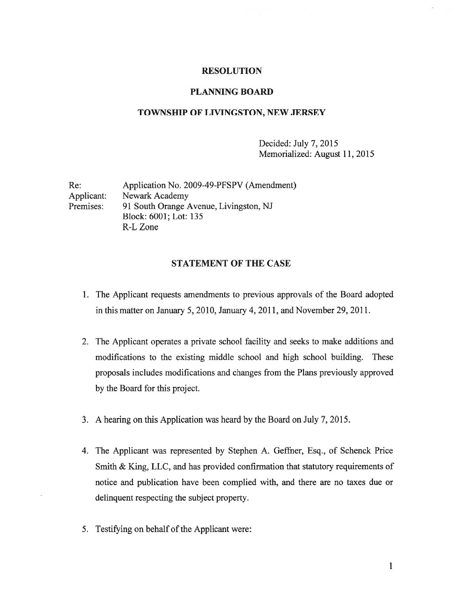### RESOLUTION

### PLANNING BOARD

### TOWNSHIP OF LIVINGSTON, NEW JERSEY

Decided: July 7, 2015 Memorialized: August 11, 2015

Re: Application No. 2009-49-PFSPV (Amendment) Applicant: Newark Academy Premises: 91 South Orange Avenue, Livingston, NJ Block: 6001; Lot: 135 R-L Zone

## STATEMENT OF THE CASE

- 1. The Applicant requests amendments to previous approvals of the Board adopted in this matter on January 5, 2010, January 4, 2011, and November 29, 2011.
- 2. The Applicant operates <sup>a</sup> private school facility and seeks to make additions and modifications to the existing middle school and high school building. These proposals includes modifications and changes from the Plans previously approved by the Board for this project.
- 3. A hearing on this Application was heard by the Board on July 7, 2015.
- 4. The Applicant was represented by Stephen A. Geffner, Esq., of Schenck Price Smith & King, LLC, and has provided confirmation that statutory requirements of notice and publication have been complied with, and there are no taxes due or delinquent respecting the subject property.
- 5. Testifying on behalf of the Applicant were: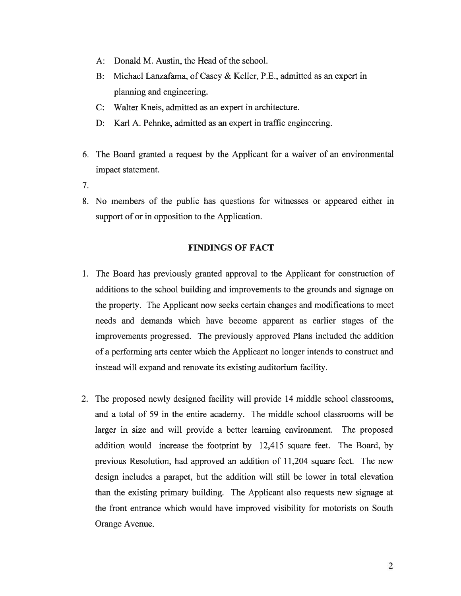- A: Donald M. Austin, the Head of the school.
- B: Michael Lanzafama, of Casey & Keller, P.E., admitted as an exper<sup>t</sup> in planning and engineering.
- C: Walter Kneis, admitted as an exper<sup>t</sup> in architecture.
- D: Karl A. Pehnke, admitted as an exper<sup>t</sup> in traffic engineering.
- 6. The Board granted <sup>a</sup> reques<sup>t</sup> by the Applicant for <sup>a</sup> waiver of an environmental impact statement.
- 7.
- 8. No members of the public has questions for witnesses or appeared either in suppor<sup>t</sup> of or in opposition to the Application.

## FINDINGS OF FACT

- 1. The Board has previously granted approval to the Applicant for construction of additions to the school building and improvements to the grounds and signage on the property. The Applicant now seeks certain changes and modifications to meet needs and demands which have become apparen<sup>t</sup> as earlier stages of the improvements progressed. The previously approved Plans included the addition of <sup>a</sup> performing arts center which the Applicant no longer intends to construct and instead will expand and renovate its existing auditorium facility.
- 2. The proposed newly designed facility will provide 14 middle school classrooms, and <sup>a</sup> total of 59 in the entire academy. The middle school classrooms will be larger in size and will provide <sup>a</sup> better learning environment. The proposed addition would increase the footprint by 12,415 square feet. The Board, by previous Resolution, had approved an addition of 11,204 square feet. The new design includes <sup>a</sup> parapet, but the addition will still be lower in total elevation than the existing primary building. The Applicant also requests new signage at the front entrance which would have improved visibility for motorists on South Orange Avenue.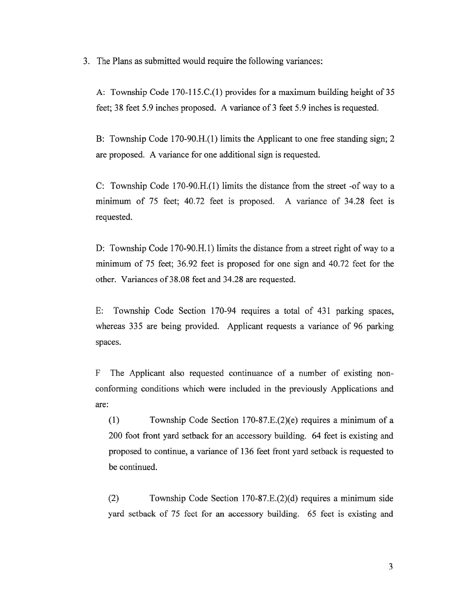3. The Plans as submitted would require the following variances:

A: Township Code 170-115.C.(1) provides for <sup>a</sup> maximum building height of 35 feet; 38 feet 5.9 inches proposed. A variance of 3 feet 5.9 inches is requested.

B: Township Code 170-90.H.(l) limits the Applicant to one free standing sign; 2 are proposed. A variance for one additional sign is requested.

C: Township Code 170-90.H.(1) limits the distance from the street -of way to <sup>a</sup> minimum of 75 feet; 40.72 feet is proposed. A variance of 34.28 feet is requested.

D: Township Code 170-90.H.1) limits the distance from <sup>a</sup> street right of way to <sup>a</sup> minimum of 75 feet; 36.92 feet is proposed for one sign and 40.72 feet for the other. Variances of 38.08 feet and 34.28 are requested.

E: Township Code Section 170-94 requires <sup>a</sup> total of 431 parking spaces, whereas 335 are being provided. Applicant requests <sup>a</sup> variance of 96 parking spaces.

F The Applicant also requested continuance of <sup>a</sup> number of existing non conforming conditions which were included in the previously Applications and are:

(1) Township Code Section 170-87.E.(2)(e) requires <sup>a</sup> minimum of <sup>a</sup> 200 foot front yard setback for an accessory building. 64 feet is existing and proposed to continue, <sup>a</sup> variance of 136 feet front yard setback is requested to be continued.

(2) Township Code Section 1 70-87.E.(2)(d) requires <sup>a</sup> minimum side yard setback of 75 feet for an accessory building. 65 feet is existing and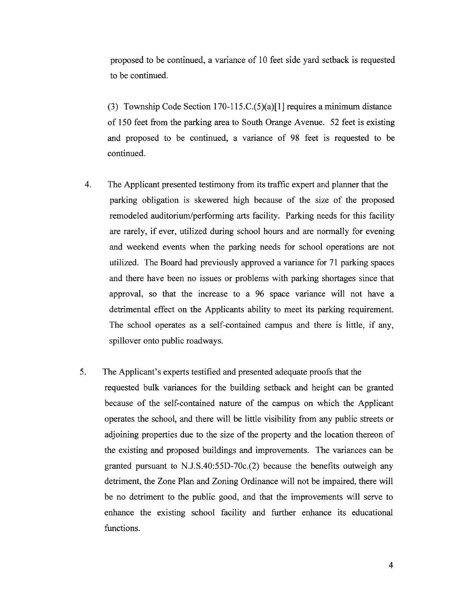proposed to be continued, <sup>a</sup> variance of 10 feet side yard setback is requested to be continued.

(3) Township Code Section 170-115.C. $(5)(a)[1]$  requires a minimum distance of 150 feet from the parking area to South Orange Avenue. 52 feet is existing and proposed to be continued, <sup>a</sup> variance of 98 feet is requested to be continued.

- 4. The Applicant presented testimony from its traffic exper<sup>t</sup> and planner that the parking obligation is skewered high because of the size of the proposed remodeled auditorium/performing arts facility. Parking needs for this facility are rarely, if ever, utilized during school hours and are normally for evening and weekend events when the parking needs for school operations are not utilized. The Board had previously approved <sup>a</sup> variance for 71 parking spaces and there have been no issues or problems with parking shortages since that approval, so that the increase to <sup>a</sup> 96 space variance will not have <sup>a</sup> detrimental effect on the Applicants ability to meet its parking requirement. The school operates as <sup>a</sup> self-contained campus and there is little, if any, spillover onto public roadways.
- 5. The Applicant's experts testified and presented adequate proofs that the requested bulk variances for the building setback and height can be granted because of the self-contained nature of the campus on which the Applicant operates the school, and there will be little visibility from any public streets or adjoining properties due to the size of the property and the location thereon of the existing and proposed buildings and improvements. The variances can be granted pursuan<sup>t</sup> to N.J.S.40:55D-70c.(2) because the benefits outweigh any detriment, the Zone Plan and Zoning Ordinance will not be impaired, there will be no detriment to the public good, and that the improvements will serve to enhance the existing school facility and further enhance its educational functions.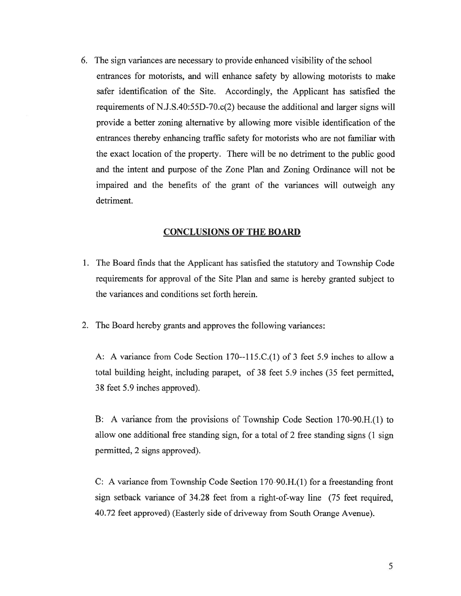6. The sign variances are necessary to provide enhanced visibility of the school entrances for motorists, and will enhance safety by allowing motorists to make safer identification of the Site. Accordingly, the Applicant has satisfied the requirements of N.J.S.40:55D-70.c(2) because the additional and larger signs will provide <sup>a</sup> better zoning alternative by allowing more visible identification of the entrances thereby enhancing traffic safety for motorists who are not familiar with the exact location of the property. There will be no detriment to the public good and the intent and purpose of the Zone Plan and Zoning Ordinance will not be impaired and the benefits of the gran<sup>t</sup> of the variances will outweigh any detriment.

### CONCLUSIONS OF THE BOARD

- 1. The Board finds that the Applicant has satisfied the statutory and Township Code requirements for approval of the Site Plan and same is hereby granted subject to the variances and conditions set forth herein.
- 2. The Board hereby grants and approves the following variances:

A: A variance from Code Section l70--115.C.(1) of 3 feet 5.9 inches to allow <sup>a</sup> total building height, including parapet, of 38 feet 5.9 inches (35 feet permitted, 38 feet 5.9 inches approved).

B: A variance from the provisions of Township Code Section 170-90.H.(l) to allow one additional free standing sign, for <sup>a</sup> total of 2 free standing signs (1 sign permitted, 2 signs approved).

C: A variance from Township Code Section 170-90.H.(l) for <sup>a</sup> freestanding front sign setback variance of 34.28 feet from <sup>a</sup> right-of-way line (75 feet required, 40.72 feet approved) (Easterly side of driveway from South Orange Avenue).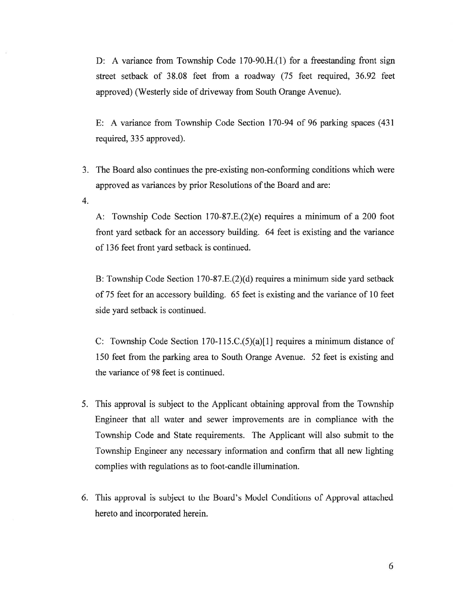D: A variance from Township Code 170-90.H.(1) for <sup>a</sup> freestanding front sign street setback of 38.08 feet from <sup>a</sup> roadway (75 feet required, 36.92 feet approved) (Westerly side of driveway from South Orange Avenue).

E: A variance from Township Code Section 170-94 of 96 parking spaces (431 required, 335 approved).

- 3. The Board also continues the pre-existing non-conforming conditions which were approved as variances by prior Resolutions of the Board and are:
- 4.

A: Township Code Section  $170-87.E.(2)(e)$  requires a minimum of a 200 foot front yard setback for an accessory building. 64 feet is existing and the variance of 136 feet front yard setback is continued.

B: Township Code Section 170-87.E.(2)(d) requires a minimum side yard setback of 75 feet for an accessory building. 65 feet is existing and the variance of 10 feet side yard setback is continued.

C: Township Code Section 170-115.C.(5)(a)[1] requires <sup>a</sup> minimum distance of 150 feet from the parking area to South Orange Avenue. 52 feet is existing and the variance of 98 feet is continued.

- 5. This approval is subject to the Applicant obtaining approval from the Township Engineer that all water and sewer improvements are in compliance with the Township Code and State requirements. The Applicant will also submit to the Township Engineer any necessary information and confirm that all new lighting complies with regulations as to foot-candle illumination.
- 6. This approval is subject to the Board's Model Conditions of Approval attached hereto and incorporated herein.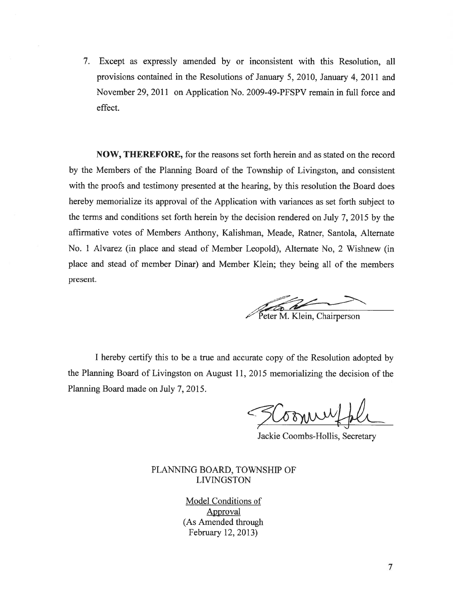7. Except as expressly amended by or inconsistent with this Resolution, all provisions contained in the Resolutions of January 5, 2010, January 4, 2011 and November 29, 2011 on Application No. 2009-49-PFSPV remain in full force and effect.

NOW, THEREFORE, for the reasons set forth herein and as stated on the record by the Members of the Planning Board of the Township of Livingston, and consistent with the proofs and testimony presented at the hearing, by this resolution the Board does hereby memorialize its approva<sup>l</sup> of the Application with variances as set forth subject to the terms and conditions set forth herein by the decision rendered on July 7, 2015 by the affirmative votes of Members Anthony, Kalishman, Meade, Ratner, Santola, Alternate No. 1 Alvarez (in place and stead of Member Leopold), Alternate No, 2 Wishnew (in <sup>p</sup>lace and stead of member Dinar) and Member Klein; they being all of the members present.

**ing the Community of the Community** Peter M. Klein, Chairperson

<sup>I</sup> hereby certify this to be <sup>a</sup> true and accurate copy of the Resolution adopted by the Planning Board of Livingston on August 11, 2015 memorializing the decision of the Planning Board made on July 7, 2015.

V QM

Jackie Coombs-Hollis, Secretary

## PLANNING BOARD, TOWNSHIP OF LIVINGSTON

Model Conditions of Approval (As Amended through February 12, 2013)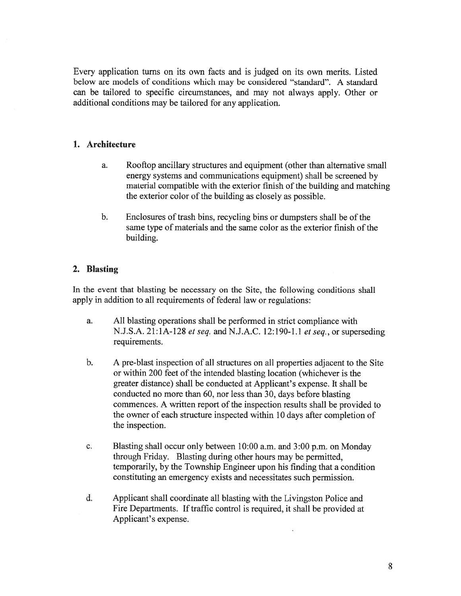Every application turns on its own facts and is judged on its own merits. Listed below are models of conditions which may be considered "standard". A standard can be tailored to specific circumstances, and may not always apply. Other or additional conditions may be tailored for any application.

## 1. Architecture

- a. Rooftop ancillary structures and equipment (other than alternative small energy systems and communications equipment) shall be screened by material compatible with the exterior finish of the building and matching the exterior color of the building as closely as possible.
- b. Enclosures of trash bins, recycling bins or dumpsters shall be of the same type of materials and the same color as the exterior finish of the building.

# 2. Blasting

In the event that blasting be necessary on the Site, the following conditions shall apply in addition to all requirements of federal law or regulations:

- a. All blasting operations shall be performed in strict compliance with N.J.S.A. 21:1A-128 et seq. and N.J.A.C. 12:190-1.1 et seq., or superseding requirements.
- b. <sup>A</sup> pre-blast inspection of all structures on all properties adjacent to the Site or within 200 feet of the intended blasting location (whichever is the greater distance) shall be conducted at Applicant's expense. It shall be conducted no more than 60, nor less than 30, days before blasting commences. A written report of the inspection results shall be provided to the owner of each structure inspected within 10 days after completion of the inspection.
- c. Blasting shall occur only between 10:00 a.m. and 3:00 p.m. on Monday through Friday. Blasting during other hours may be permitted, temporarily, by the Township Engineer upon his finding that <sup>a</sup> condition constituting an emergency exists and necessitates such permission.
- d. Applicant shall coordinate all blasting with the Livingston Police and Fire Departments. If traffic control is required, it shall be provided at Applicant's expense.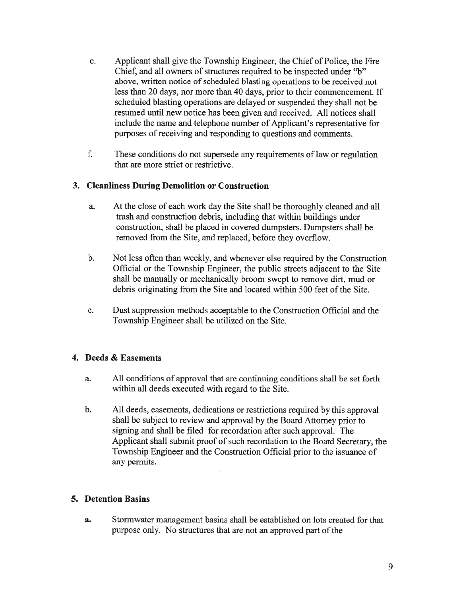- e. Applicant shall give the Township Engineer, the Chief of Police, the Fire Chief, and all owners of structures required to be inspected under "b" above, written notice of scheduled blasting operations to be received not less than 20 days, nor more than 40 days, prior to their commencement. If scheduled blasting operations are delayed or suspended they shall not be resumed until new notice has been given and received. All notices shall include the name and telephone number of Applicant's representative for purposes of receiving and responding to questions and comments.
- f. These conditions do not supersede any requirements of law or regulation that are more strict or restrictive.

# 3. Cleanliness During Demolition or Construction

- a. At the close of each work day the Site shall be thoroughly cleaned and all trash and construction debris, including that within buildings under construction, shall be placed in covered dumpsters. Dumpsters shall be removed from the Site, and replaced, before they overflow.
- b. Not less often than weekly, and whenever else required by the Construction Official or the Township Engineer, the public streets adjacent to the Site shall be manually or mechanically broom swep<sup>t</sup> to remove dirt, mud or debris originating from the Site and located within 500 feet of the Site.
- c. Dust suppression methods acceptable to the Construction Official and the Township Engineer shall be utilized on the Site.

## 4. Deeds & Easements

- a. All conditions of approval that are continuing conditions shall be set forth within all deeds executed with regard to the Site.
- b. All deeds, easements, dedications or restrictions required by this approva<sup>l</sup> shall be subject to review and approval by the Board Attorney prior to signing and shall be filed for recordation after such approval. The Applicant shall submit proof of such recordation to the Board Secretary, the Township Engineer and the Construction Official prior to the issuance of any permits.

# 5. Detention Basins

a. Stormwater managemen<sup>t</sup> basins shall be established on lots created for that purpose only. No structures that are not an approved part of the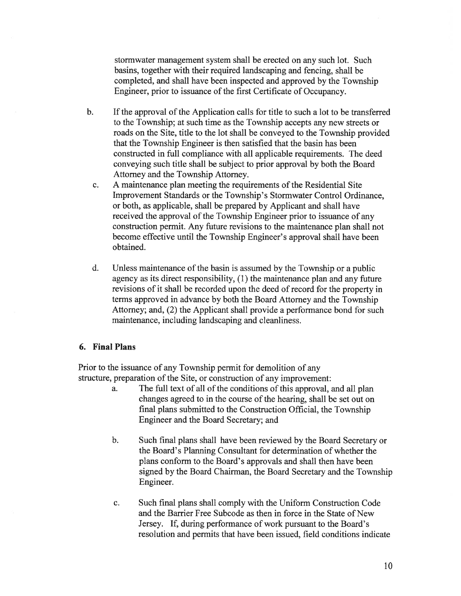stormwater managemen<sup>t</sup> system shall be erected on any such lot. Such basins, together with their required landscaping and fencing, shall be completed, and shall have been inspected and approved by the Township Engineer, prior to issuance of the first Certificate of Occupancy.

- b. If the approval of the Application calls for title to such <sup>a</sup> lot to be transferred to the Township; at such time as the Township accepts any new streets or roads on the Site, title to the lot shall be conveyed to the Township provided that the Township Engineer is then satisfied that the basin has been constructed in full compliance with all applicable requirements. The deed conveying such title shall be subject to prior approval by both the Board Attorney and the Township Attorney.
	- c. A maintenance plan meeting the requirements of the Residential Site Improvement Standards or the Township's Stormwater Control Ordinance, or both, as applicable, shall be prepared by Applicant and shall have received the approval of the Township Engineer prior to issuance of any construction permit. Any future revisions to the maintenance plan shall not become effective until the Township Engineer's approval shall have been obtained.
	- d. Unless maintenance ofthe basin is assumed by the Township or <sup>a</sup> public agency as its direct responsibility, (1) the maintenance plan and any future revisions of it shall be recorded upon the deed of record for the property in terms approved in advance by both the Board Attorney and the Township Attorney; and, (2) the Applicant shall provide <sup>a</sup> performance bond for such maintenance, including landscaping and cleanliness.

#### 6. Final Plans

Prior to the issuance of any Township permit for demolition of any structure, preparation of the Site, or construction of any improvement:

- a. The full text of all of the conditions of this approval, and all <sup>p</sup>lan changes agreed to in the course of the hearing, shall be set out on final plans submitted to the Construction Official, the Township Engineer and the Board Secretary; and
- b. Such final plans shall have been reviewed by the Board Secretary or the Board's Planning Consultant for determination of whether the plans conform to the Board's approvals and shall then have been signed by the Board Chairman, the Board Secretary and the Township Engineer.
- c. Such final plans shall comply with the Uniform Construction Code and the Barrier Free Subcode as then in force in the State of New Jersey. If, during performance of work pursuan<sup>t</sup> to the Board's resolution and permits that have been issued, field conditions indicate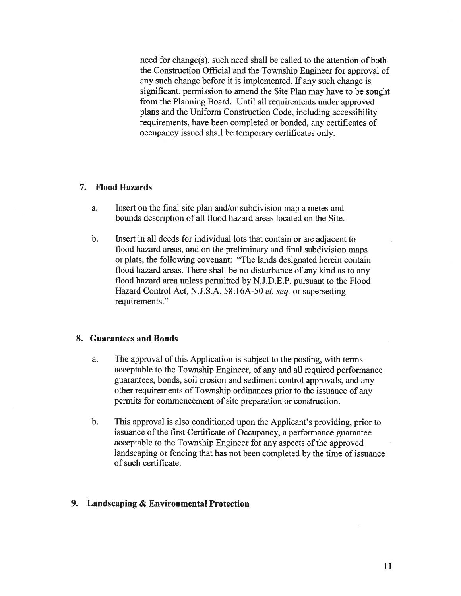need for change(s), such need shall be called to the attention of both the Construction Official and the Township Engineer for approval of any such change before it is implemented. If any such change is significant, permission to amend the Site Plan may have to be sought from the Planning Board. Until all requirements under approved plans and the Uniform Construction Code, including accessibility requirements, have been completed or bonded, any certificates of occupancy issued shall be temporary certificates only.

### 7. Flood Hazards

- a. Insert on the final site plan and/or subdivision map <sup>a</sup> metes and bounds description of all flood hazard areas located on the Site.
- b. Insert in all deeds for individual lots that contain or are adjacent to flood hazard areas. and on the preliminary and final subdivision maps or plats, the following covenant: "The lands designated herein contain flood hazard areas. There shall be no disturbance of any kind as to any flood hazard area unless permitted by N.J.D.E.P. pursuan<sup>t</sup> to the Flood Hazard Control Act, N.J.S.A. 58:16A-50 et. seq. or superseding requirements."

#### 8. Guarantees and Bonds

- a. The approval of this Application is subject to the posting, with terms acceptable to the Township Engineer, of any and all required performance guarantees, bonds, soil erosion and sediment control approvals, and any other requirements of Township ordinances prior to the issuance of any permits for commencement of site preparation or construction.
- b. This approval is also conditioned upon the Applicant's providing, prior to issuance of the first Certificate of Occupancy, <sup>a</sup> performance guarantee acceptable to the Township Engineer for any aspects of the approved landscaping or fencing that has not been completed by the time of issuance of such certificate.

### 9. Landscaping & Environmental Protection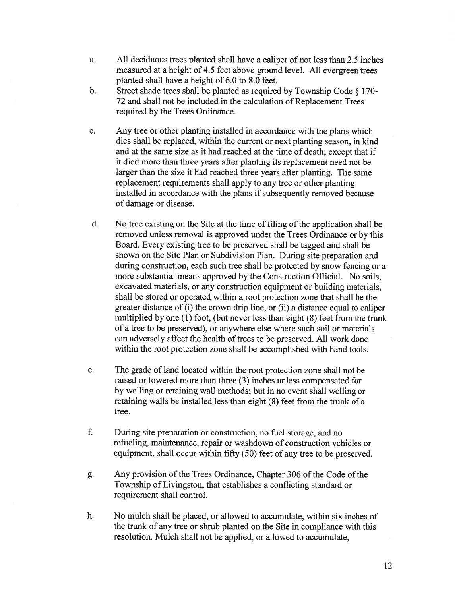- a. All deciduous trees planted shall have <sup>a</sup> caliper of not less than 2.5 inches measured at <sup>a</sup> height of 4.5 feet above ground level. All evergreen trees planted shall have <sup>a</sup> height of 6.0 to 8.0 feet.
- b. Street shade trees shall be <sup>p</sup>lanted as required by Township Code § 170- 72 and shall not be included in the calculation of Replacement Trees required by the Trees Ordinance.
- c. Any tree or other planting installed in accordance with the plans which dies shall be replaced, within the current or next planting season, in kind and at the same size as it had reached at the time of death; excep<sup>t</sup> that if it died more than three years after planting its replacement need not be larger than the size it had reached three years after planting. The same replacement requirements shall apply to any tree or other planting installed in accordance with the plans if subsequently removed because of damage or disease.
- d. No tree existing on the Site at the time of filing of the application shall be removed unless removal is approved under the Trees Ordinance or by this Board. Every existing tree to be preserved shall be tagged and shall be shown on the Site Plan or Subdivision Plan. During site preparation and during construction, each such tree shall be protected by snow fencing or <sup>a</sup> more substantial means approved by the Construction Official. No soils, excavated materials, or any construction equipment or building materials, shall be stored or operated within <sup>a</sup> root protection zone that shall be the greater distance of (i) the crown drip line, or (ii) <sup>a</sup> distance equal to caliper multiplied by one (1) foot, (but never less than eight (8) feet from the trunk of <sup>a</sup> tree to be preserved), or anywhere else where such soil or materials can adversely affect the health of trees to be preserved. All work done within the root protection zone shall be accomplished with hand tools.
- e. The grade of land located within the root protection zone shall not be raised or lowered more than three (3) inches unless compensated for by welling or retaining wall methods; but in no event shall welling or retaining walls be installed less than eight (8) feet from the trunk of <sup>a</sup> tree.
- f. During site preparation or construction, no fuel storage, and no refueling, maintenance, repair or washdown of construction vehicles or equipment, shall occur within fifty (50) feet of any tree to be preserved.
- g. Any provision of the Trees Ordinance, Chapter 306 of the Code of the Township of Livingston, that establishes <sup>a</sup> conflicting standard or requirement shall control.
- h. No mulch shall be placed, or allowed to accumulate, within six inches of the trunk of any tree or shrub planted on the Site in compliance with this resolution. Mulch shall not be applied, or allowed to accumulate,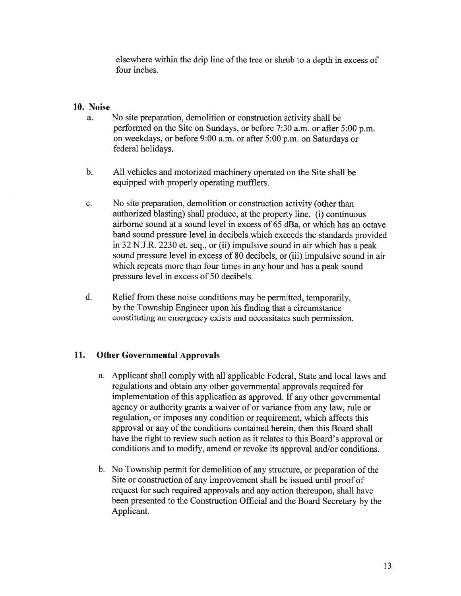elsewhere within the drip line of the tree or shrub to <sup>a</sup> depth in excess of four inches.

### 10. Noise

- a. No site preparation, demolition or construction activity shall be performed on the Site on Sundays, or before 7:30 a.m. or after 5:00 p.m. on weekdays, or before 9:00 a.m. or after 5:00 p.m. on Saturdays or federal holidays.
- b. All vehicles and motorized machinery operated on the Site shall be equipped with properly operating mufflers.
- c. No site preparation, demolition or construction activity (other than authorized blasting) shall produce, at the property line, (i) continuous airborne sound at <sup>a</sup> sound level in excess of 65 dBa, or which has an octave band sound pressure level in decibels which exceeds the standards provided in 32 N.J.R. 2230 et. seq., or (ii) impulsive sound in air which has <sup>a</sup> pea<sup>k</sup> sound pressure level in excess of 80 decibels, or (iii) impulsive sound in air which repeats more than four times in any hour and has <sup>a</sup> peak sound pressure level in excess of 50 decibels.
- d. Relief from these noise conditions may be permitted, temporarily, by the Township Engineer upon his finding that <sup>a</sup> circumstance constituting an emergency exists and necessitates such permission.

## 11. Other Governmental Approvals

- a. Applicant shall comply with all applicable Federal, State and local laws and regulations and obtain any other governmental approvals required for implementation of this application as approved. If any other governmental agency or authority grants <sup>a</sup> waiver of or variance from any law, rule or regulation, or imposes any condition or requirement, which affects this approval or any of the conditions contained herein, then this Board shall have the right to review such action as it relates to this Board's approval or conditions and to modify, amend or revoke its approval and/or conditions.
- b. No Township permit for demolition of any structure, or preparation of the Site or construction of any improvement shall be issued until proof of reques<sup>t</sup> for such required approvals and any action thereupon, shall have been presented to the Construction Official and the Board Secretary by the Applicant.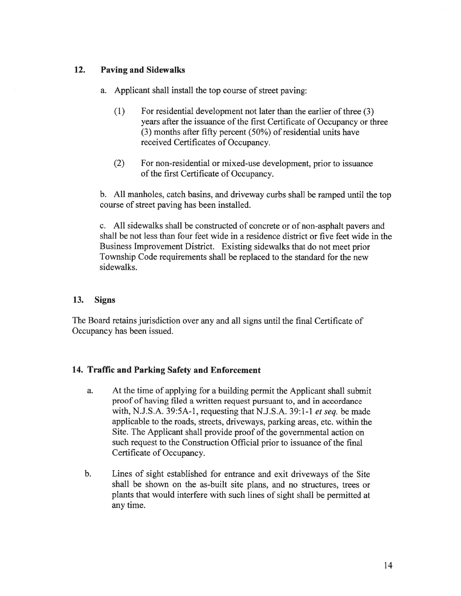# 12. Paving and Sidewalks

- a. Applicant shall install the top course of street paving:
	- (1) For residential development not later than the earlier of three (3) years after the issuance of the first Certificate of Occupancy or three (3) months after fifty percen<sup>t</sup> (50%) of residential units have received Certificates of Occupancy.
	- (2) For non-residential or mixed-use development, prior to issuance of the first Certificate of Occupancy.

b. All manholes, catch basins, and driveway curbs shall be ramped until the top course of street paving has been installed.

c. All sidewalks shall be constructed of concrete or of non-asphalt payers and shall be not less than four feet wide in <sup>a</sup> residence district or five feet wide in the Business Improvement District. Existing sidewalks that do not meet prior Township Code requirements shall be replaced to the standard for the new sidewalks.

# 13. Signs

The Board retains jurisdiction over any and all signs until the final Certificate of Occupancy has been issued.

# 14. Traffic and Parking Safety and Enforcement

- a. At the time of applying for <sup>a</sup> building permit the Applicant shall submit proof of having filed <sup>a</sup> written reques<sup>t</sup> pursuan<sup>t</sup> to, and in accordance with, N.J.S.A.  $39:5A-1$ , requesting that N.J.S.A.  $39:1-1$  et seq. be made applicable to the roads, streets, driveways, parking areas, etc. within the Site. The Applicant shall provide proof of the governmental action on such reques<sup>t</sup> to the Construction Official prior to issuance of the final Certificate of Occupancy.
- b. Lines of sight established for entrance and exit driveways of the Site shall be shown on the as-built site plans, and no structures, trees or <sup>p</sup>lants that would interfere with such lines of sight shall be permitted at any time.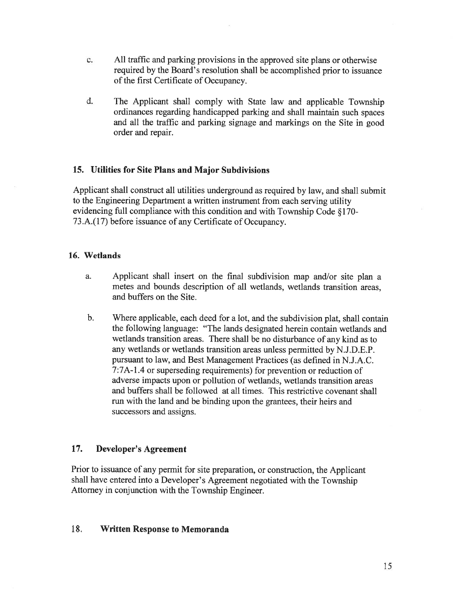- c. All traffic and parking provisions in the approved site plans or otherwise required by the Board's resolution shall be accomplished prior to issuance of the first Certificate of Occupancy.
- d. The Applicant shall comply with State law and applicable Township ordinances regarding handicapped parking and shall maintain such spaces and all the traffic and parking signage and markings on the Site in good order and repair.

# 15. Utilities for Site Plans and Major Subdivisions

Applicant shall construct all utilities underground as required by law, and shall submit to the Engineering Department <sup>a</sup> written instrument from each serving utility evidencing full compliance with this condition and with Township Code § 170- 73 .A.( 17) before issuance of any Certificate of Occupancy.

### 16. Wetlands

- a. Applicant shall insert on the final subdivision map and/or site <sup>p</sup>lan <sup>a</sup> metes and bounds description of all wetlands, wetlands transition areas, and buffers on the Site.
- b. Where applicable, each deed for <sup>a</sup> lot, and the subdivision <sup>p</sup>lat, shall contain the following language: "The lands designated herein contain wetlands and wetlands transition areas. There shall be no disturbance of any kind as to any wetlands or wetlands transition areas unless permitted by N.J.D.E.P. pursuan<sup>t</sup> to law, and Best Management Practices (as defined in N.J.A.C. 7:7A-1 .4 or superseding requirements) for prevention or reduction of adverse impacts upon or pollution of wetlands, wetlands transition areas and buffers shall be followed at all times. This restrictive covenant shall run with the land and be binding upon the grantees, their heirs and successors and assigns.

## 17. Developer's Agreement

Prior to issuance of any permit for site preparation, or construction, the Applicant shall have entered into <sup>a</sup> Developer's Agreement negotiated with the Township Attorney in conjunction with the Township Engineer.

## 18. Written Response to Memoranda